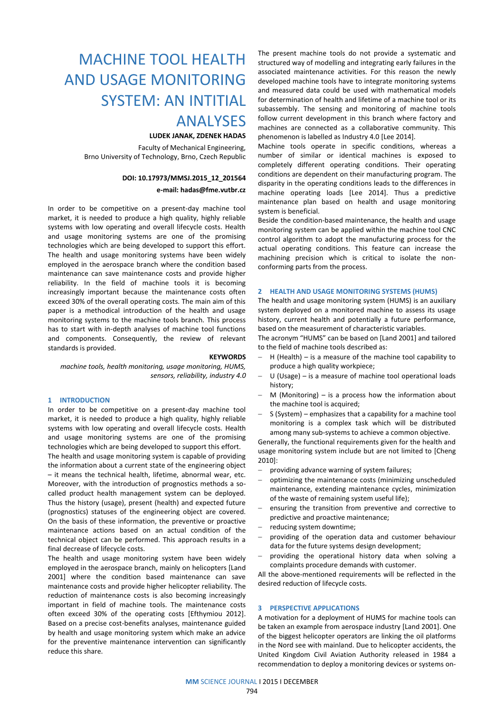# MACHINE TOOL HEALTH AND USAGE MONITORING SYSTEM: AN INTITIAL

## ANALYSES

### **LUDEK JANAK, ZDENEK HADAS**

 Faculty of Mechanical Engineering, Brno University of Technology, Brno, Czech Republic

#### **DOI: 10.17973/MMSJ.2015\_12\_201564**

#### **e-mail: hadas@fme.vutbr.cz**

In order to be competitive on a present-day machine tool market, it is needed to produce a high quality, highly reliable systems with low operating and overall lifecycle costs. Health and usage monitoring systems are one of the promising technologies which are being developed to support this effort. The health and usage monitoring systems have been widely employed in the aerospace branch where the condition based maintenance can save maintenance costs and provide higher reliability. In the field of machine tools it is becoming increasingly important because the maintenance costs often exceed 30% of the overall operating costs. The main aim of this paper is a methodical introduction of the health and usage monitoring systems to the machine tools branch. This process has to start with in-depth analyses of machine tool functions and components. Consequently, the review of relevant standards is provided.

#### **KEYWORDS**

*machine tools, health monitoring, usage monitoring, HUMS, sensors, reliability, industry 4.0*

#### **1 INTRODUCTION**

In order to be competitive on a present-day machine tool market, it is needed to produce a high quality, highly reliable systems with low operating and overall lifecycle costs. Health and usage monitoring systems are one of the promising technologies which are being developed to support this effort.

The health and usage monitoring system is capable of providing the information about a current state of the engineering object – it means the technical health, lifetime, abnormal wear, etc. Moreover, with the introduction of prognostics methods a socalled product health management system can be deployed. Thus the history (usage), present (health) and expected future (prognostics) statuses of the engineering object are covered. On the basis of these information, the preventive or proactive maintenance actions based on an actual condition of the technical object can be performed. This approach results in a final decrease of lifecycle costs.

The health and usage monitoring system have been widely employed in the aerospace branch, mainly on helicopters [Land 2001] where the condition based maintenance can save maintenance costs and provide higher helicopter reliability. The reduction of maintenance costs is also becoming increasingly important in field of machine tools. The maintenance costs often exceed 30% of the operating costs [Efthymiou 2012]. Based on a precise cost-benefits analyses, maintenance guided by health and usage monitoring system which make an advice for the preventive maintenance intervention can significantly reduce this share.

The present machine tools do not provide a systematic and structured way of modelling and integrating early failures in the associated maintenance activities. For this reason the newly developed machine tools have to integrate monitoring systems and measured data could be used with mathematical models for determination of health and lifetime of a machine tool or its subassembly. The sensing and monitoring of machine tools follow current development in this branch where factory and machines are connected as a collaborative community. This phenomenon is labelled as Industry 4.0 [Lee 2014].

Machine tools operate in specific conditions, whereas a number of similar or identical machines is exposed to completely different operating conditions. Their operating conditions are dependent on their manufacturing program. The disparity in the operating conditions leads to the differences in machine operating loads [Lee 2014]. Thus a predictive maintenance plan based on health and usage monitoring system is beneficial.

Beside the condition-based maintenance, the health and usage monitoring system can be applied within the machine tool CNC control algorithm to adopt the manufacturing process for the actual operating conditions. This feature can increase the machining precision which is critical to isolate the nonconforming parts from the process.

#### **2 HEALTH AND USAGE MONITORING SYSTEMS (HUMS)**

The health and usage monitoring system (HUMS) is an auxiliary system deployed on a monitored machine to assess its usage history, current health and potentially a future performance, based on the measurement of characteristic variables.

The acronym "HUMS" can be based on [Land 2001] and tailored to the field of machine tools described as:

- H (Health) is a measure of the machine tool capability to produce a high quality workpiece;
- $-U$  (Usage) is a measure of machine tool operational loads history;
- M (Monitoring) is a process how the information about the machine tool is acquired;
- S (System) emphasizes that a capability for a machine tool monitoring is a complex task which will be distributed among many sub-systems to achieve a common objective.

Generally, the functional requirements given for the health and usage monitoring system include but are not limited to [Cheng 2010]:

- providing advance warning of system failures;
- optimizing the maintenance costs (minimizing unscheduled maintenance, extending maintenance cycles, minimization of the waste of remaining system useful life);
- ensuring the transition from preventive and corrective to predictive and proactive maintenance;
- reducing system downtime;
- providing of the operation data and customer behaviour data for the future systems design development;
- providing the operational history data when solving a complaints procedure demands with customer.

All the above-mentioned requirements will be reflected in the desired reduction of lifecycle costs.

#### **3 PERSPECTIVE APPLICATIONS**

A motivation for a deployment of HUMS for machine tools can be taken an example from aerospace industry [Land 2001]. One of the biggest helicopter operators are linking the oil platforms in the Nord see with mainland. Due to helicopter accidents, the United Kingdom Civil Aviation Authority released in 1984 a recommendation to deploy a monitoring devices or systems on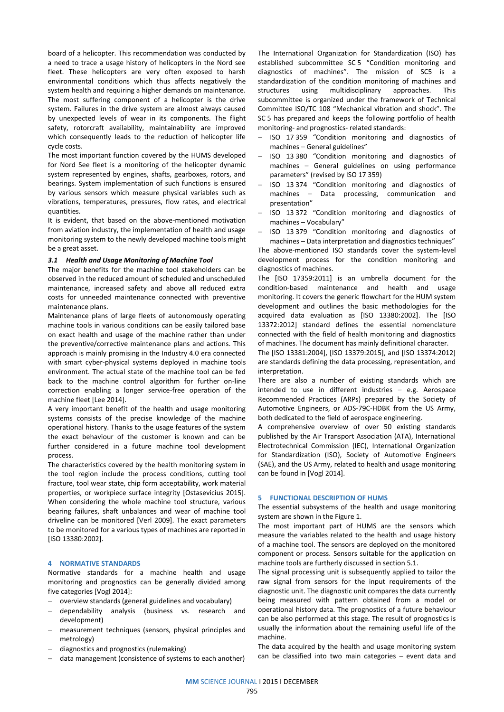board of a helicopter. This recommendation was conducted by a need to trace a usage history of helicopters in the Nord see fleet. These helicopters are very often exposed to harsh environmental conditions which thus affects negatively the system health and requiring a higher demands on maintenance. The most suffering component of a helicopter is the drive system. Failures in the drive system are almost always caused by unexpected levels of wear in its components. The flight safety, rotorcraft availability, maintainability are improved which consequently leads to the reduction of helicopter life cycle costs.

The most important function covered by the HUMS developed for Nord See fleet is a monitoring of the helicopter dynamic system represented by engines, shafts, gearboxes, rotors, and bearings. System implementation of such functions is ensured by various sensors which measure physical variables such as vibrations, temperatures, pressures, flow rates, and electrical quantities.

It is evident, that based on the above-mentioned motivation from aviation industry, the implementation of health and usage monitoring system to the newly developed machine tools might be a great asset.

#### *3.1 Health and Usage Monitoring of Machine Tool*

The major benefits for the machine tool stakeholders can be observed in the reduced amount of scheduled and unscheduled maintenance, increased safety and above all reduced extra costs for unneeded maintenance connected with preventive maintenance plans.

Maintenance plans of large fleets of autonomously operating machine tools in various conditions can be easily tailored base on exact health and usage of the machine rather than under the preventive/corrective maintenance plans and actions. This approach is mainly promising in the Industry 4.0 era connected with smart cyber-physical systems deployed in machine tools environment. The actual state of the machine tool can be fed back to the machine control algorithm for further on-line correction enabling a longer service-free operation of the machine fleet [Lee 2014].

A very important benefit of the health and usage monitoring systems consists of the precise knowledge of the machine operational history. Thanks to the usage features of the system the exact behaviour of the customer is known and can be further considered in a future machine tool development process.

The characteristics covered by the health monitoring system in the tool region include the process conditions, cutting tool fracture, tool wear state, chip form acceptability, work material properties, or workpiece surface integrity [Ostasevicius 2015]. When considering the whole machine tool structure, various bearing failures, shaft unbalances and wear of machine tool driveline can be monitored [Verl 2009]. The exact parameters to be monitored for a various types of machines are reported in [ISO 13380:2002].

#### **4 NORMATIVE STANDARDS**

Normative standards for a machine health and usage monitoring and prognostics can be generally divided among five categories [Vogl 2014]:

- overview standards (general guidelines and vocabulary)
- dependability analysis (business vs. research and development)
- measurement techniques (sensors, physical principles and metrology)
- diagnostics and prognostics (rulemaking)
- data management (consistence of systems to each another)

The International Organization for Standardization (ISO) has established subcommittee SC 5 "Condition monitoring and diagnostics of machines". The mission of SC5 is a standardization of the condition monitoring of machines and structures using multidisciplinary approaches. This subcommittee is organized under the framework of Technical Committee ISO/TC 108 "Mechanical vibration and shock". The SC 5 has prepared and keeps the following portfolio of health monitoring- and prognostics- related standards:

- ISO 17 359 "Condition monitoring and diagnostics of machines – General guidelines"
- ISO 13 380 "Condition monitoring and diagnostics of machines – General guidelines on using performance parameters" (revised by ISO 17 359)
- ISO 13 374 "Condition monitoring and diagnostics of machines – Data processing, communication and presentation"
- ISO 13 372 "Condition monitoring and diagnostics of machines – Vocabulary"
- ISO 13 379 "Condition monitoring and diagnostics of machines – Data interpretation and diagnostics techniques"

The above-mentioned ISO standards cover the system-level development process for the condition monitoring and diagnostics of machines.

The [ISO 17359:2011] is an umbrella document for the condition-based maintenance and health and usage monitoring. It covers the generic flowchart for the HUM system development and outlines the basic methodologies for the acquired data evaluation as [ISO 13380:2002]. The [ISO 13372:2012] standard defines the essential nomenclature connected with the field of health monitoring and diagnostics of machines. The document has mainly definitional character.

The [ISO 13381:2004], [ISO 13379:2015], and [ISO 13374:2012] are standards defining the data processing, representation, and interpretation.

There are also a number of existing standards which are intended to use in different industries – e.g. Aerospace Recommended Practices (ARPs) prepared by the Society of Automotive Engineers, or ADS‐79C‐HDBK from the US Army, both dedicated to the field of aerospace engineering.

A comprehensive overview of over 50 existing standards published by the Air Transport Association (ATA), International Electrotechnical Commission (IEC), International Organization for Standardization (ISO), Society of Automotive Engineers (SAE), and the US Army, related to health and usage monitoring can be found in [Vogl 2014].

#### **5 FUNCTIONAL DESCRIPTION OF HUMS**

The essential subsystems of the health and usage monitoring system are shown in the Figure 1.

The most important part of HUMS are the sensors which measure the variables related to the health and usage history of a machine tool. The sensors are deployed on the monitored component or process. Sensors suitable for the application on machine tools are furtherly discussed in section 5.1.

The signal processing unit is subsequently applied to tailor the raw signal from sensors for the input requirements of the diagnostic unit. The diagnostic unit compares the data currently being measured with pattern obtained from a model or operational history data. The prognostics of a future behaviour can be also performed at this stage. The result of prognostics is usually the information about the remaining useful life of the machine.

The data acquired by the health and usage monitoring system can be classified into two main categories – event data and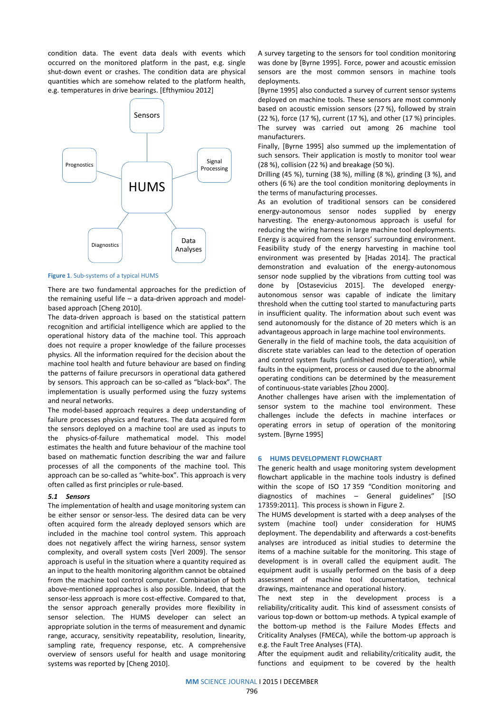condition data. The event data deals with events which occurred on the monitored platform in the past, e.g. single shut-down event or crashes. The condition data are physical quantities which are somehow related to the platform health, e.g. temperatures in drive bearings. [Efthymiou 2012]



**Figure 1**. Sub-systems of a typical HUMS

There are two fundamental approaches for the prediction of the remaining useful life – a data-driven approach and modelbased approach [Cheng 2010].

The data-driven approach is based on the statistical pattern recognition and artificial intelligence which are applied to the operational history data of the machine tool. This approach does not require a proper knowledge of the failure processes physics. All the information required for the decision about the machine tool health and future behaviour are based on finding the patterns of failure precursors in operational data gathered by sensors. This approach can be so-called as "black-box". The implementation is usually performed using the fuzzy systems and neural networks.

The model-based approach requires a deep understanding of failure processes physics and features. The data acquired form the sensors deployed on a machine tool are used as inputs to the physics-of-failure mathematical model. This model estimates the health and future behaviour of the machine tool based on mathematic function describing the war and failure processes of all the components of the machine tool. This approach can be so-called as "white-box". This approach is very often called as first principles or rule-based.

#### *5.1 Sensors*

The implementation of health and usage monitoring system can be either sensor or sensor-less. The desired data can be very often acquired form the already deployed sensors which are included in the machine tool control system. This approach does not negatively affect the wiring harness, sensor system complexity, and overall system costs [Verl 2009]. The sensor approach is useful in the situation where a quantity required as an input to the health monitoring algorithm cannot be obtained from the machine tool control computer. Combination of both above-mentioned approaches is also possible. Indeed, that the sensor-less approach is more cost-effective. Compared to that, the sensor approach generally provides more flexibility in sensor selection. The HUMS developer can select an appropriate solution in the terms of measurement and dynamic range, accuracy, sensitivity repeatability, resolution, linearity, sampling rate, frequency response, etc. A comprehensive overview of sensors useful for health and usage monitoring systems was reported by [Cheng 2010].

A survey targeting to the sensors for tool condition monitoring was done by [Byrne 1995]. Force, power and acoustic emission sensors are the most common sensors in machine tools deployments.

[Byrne 1995] also conducted a survey of current sensor systems deployed on machine tools. These sensors are most commonly based on acoustic emission sensors (27 %), followed by strain (22 %), force (17 %), current (17 %), and other (17 %) principles. The survey was carried out among 26 machine tool manufacturers.

Finally, [Byrne 1995] also summed up the implementation of such sensors. Their application is mostly to monitor tool wear (28 %), collision (22 %) and breakage (50 %).

Drilling (45 %), turning (38 %), milling (8 %), grinding (3 %), and others (6 %) are the tool condition monitoring deployments in the terms of manufacturing processes.

As an evolution of traditional sensors can be considered energy-autonomous sensor nodes supplied by energy harvesting. The energy-autonomous approach is useful for reducing the wiring harness in large machine tool deployments. Energy is acquired from the sensors' surrounding environment. Feasibility study of the energy harvesting in machine tool environment was presented by [Hadas 2014]. The practical demonstration and evaluation of the energy-autonomous sensor node supplied by the vibrations from cutting tool was done by [Ostasevicius 2015]. The developed energyautonomous sensor was capable of indicate the limitary threshold when the cutting tool started to manufacturing parts in insufficient quality. The information about such event was send autonomously for the distance of 20 meters which is an advantageous approach in large machine tool environments.

Generally in the field of machine tools, the data acquisition of discrete state variables can lead to the detection of operation and control system faults (unfinished motion/operation), while faults in the equipment, process or caused due to the abnormal operating conditions can be determined by the measurement of continuous-state variables [Zhou 2000].

Another challenges have arisen with the implementation of sensor system to the machine tool environment. These challenges include the defects in machine interfaces or operating errors in setup of operation of the monitoring system. [Byrne 1995]

#### **6 HUMS DEVELOPMENT FLOWCHART**

The generic health and usage monitoring system development flowchart applicable in the machine tools industry is defined within the scope of ISO 17 359 "Condition monitoring and diagnostics of machines – General guidelines" [ISO 17359:2011]. This process is shown in Figure 2.

The HUMS development is started with a deep analyses of the system (machine tool) under consideration for HUMS deployment. The dependability and afterwards a cost-benefits analyses are introduced as initial studies to determine the items of a machine suitable for the monitoring. This stage of development is in overall called the equipment audit. The equipment audit is usually performed on the basis of a deep assessment of machine tool documentation, technical drawings, maintenance and operational history.

The next step in the development process is a reliability/criticality audit. This kind of assessment consists of various top-down or bottom-up methods. A typical example of the bottom-up method is the Failure Modes Effects and Criticality Analyses (FMECA), while the bottom-up approach is e.g. the Fault Tree Analyses (FTA).

After the equipment audit and reliability/criticality audit, the functions and equipment to be covered by the health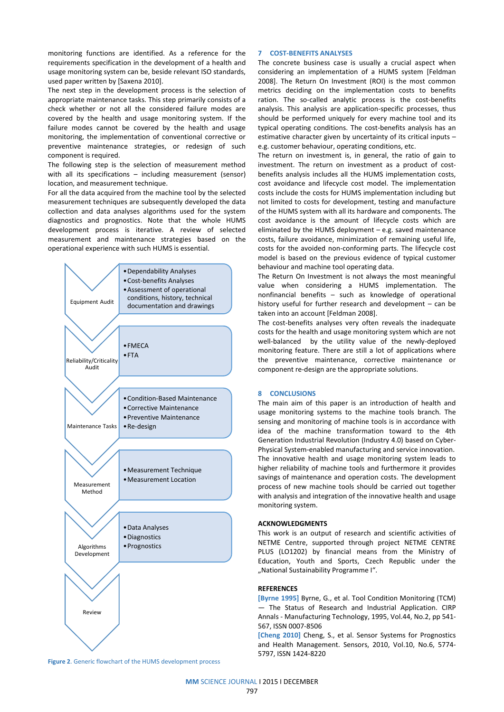monitoring functions are identified. As a reference for the requirements specification in the development of a health and usage monitoring system can be, beside relevant ISO standards, used paper written by [Saxena 2010].

The next step in the development process is the selection of appropriate maintenance tasks. This step primarily consists of a check whether or not all the considered failure modes are covered by the health and usage monitoring system. If the failure modes cannot be covered by the health and usage monitoring, the implementation of conventional corrective or preventive maintenance strategies, or redesign of such component is required.

The following step is the selection of measurement method with all its specifications – including measurement (sensor) location, and measurement technique.

For all the data acquired from the machine tool by the selected measurement techniques are subsequently developed the data collection and data analyses algorithms used for the system diagnostics and prognostics. Note that the whole HUMS development process is iterative. A review of selected measurement and maintenance strategies based on the operational experience with such HUMS is essential.



**Figure 2**. Generic flowchart of the HUMS development process

#### **7 COST-BENEFITS ANALYSES**

The concrete business case is usually a crucial aspect when considering an implementation of a HUMS system [Feldman 2008]. The Return On Investment (ROI) is the most common metrics deciding on the implementation costs to benefits ration. The so-called analytic process is the cost-benefits analysis. This analysis are application-specific processes, thus should be performed uniquely for every machine tool and its typical operating conditions. The cost-benefits analysis has an estimative character given by uncertainty of its critical inputs – e.g. customer behaviour, operating conditions, etc.

The return on investment is, in general, the ratio of gain to investment. The return on investment as a product of costbenefits analysis includes all the HUMS implementation costs, cost avoidance and lifecycle cost model. The implementation costs include the costs for HUMS implementation including but not limited to costs for development, testing and manufacture of the HUMS system with all its hardware and components. The cost avoidance is the amount of lifecycle costs which are eliminated by the HUMS deployment – e.g. saved maintenance costs, failure avoidance, minimization of remaining useful life, costs for the avoided non-conforming parts. The lifecycle cost model is based on the previous evidence of typical customer behaviour and machine tool operating data.

The Return On Investment is not always the most meaningful value when considering a HUMS implementation. The nonfinancial benefits – such as knowledge of operational history useful for further research and development – can be taken into an account [Feldman 2008].

The cost-benefits analyses very often reveals the inadequate costs for the health and usage monitoring system which are not well-balanced by the utility value of the newly-deployed monitoring feature. There are still a lot of applications where the preventive maintenance, corrective maintenance or component re-design are the appropriate solutions.

#### **8 CONCLUSIONS**

The main aim of this paper is an introduction of health and usage monitoring systems to the machine tools branch. The sensing and monitoring of machine tools is in accordance with idea of the machine transformation toward to the 4th Generation Industrial Revolution (Industry 4.0) based on Cyber-Physical System-enabled manufacturing and service innovation. The innovative health and usage monitoring system leads to higher reliability of machine tools and furthermore it provides savings of maintenance and operation costs. The development process of new machine tools should be carried out together with analysis and integration of the innovative health and usage monitoring system.

#### **ACKNOWLEDGMENTS**

This work is an output of research and scientific activities of NETME Centre, supported through project NETME CENTRE PLUS (LO1202) by financial means from the Ministry of Education, Youth and Sports, Czech Republic under the "National Sustainability Programme I".

#### **REFERENCES**

**[Byrne 1995]** Byrne, G., et al. Tool Condition Monitoring (TCM) — The Status of Research and Industrial Application. CIRP Annals - Manufacturing Technology, 1995, Vol.44, No.2, pp 541- 567, ISSN 0007-8506

**[Cheng 2010]** Cheng, S., et al. Sensor Systems for Prognostics and Health Management. Sensors, 2010, Vol.10, No.6, 5774- 5797, ISSN 1424-8220